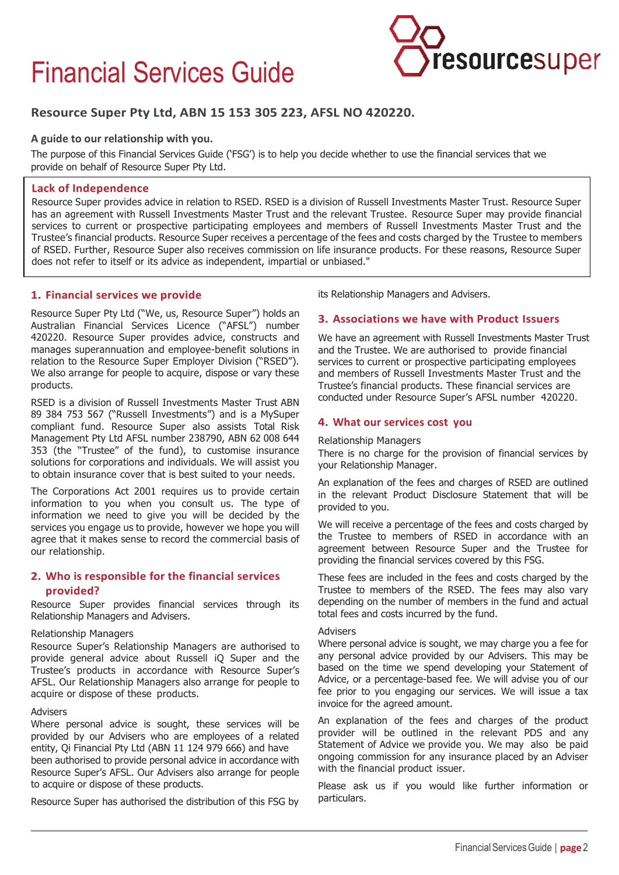# Financial Services Guide



# **Resource Super Pty Ltd, ABN 15 153 305 223, AFSL NO 420220.**

## **A guide to our relationship with you.**

The purpose of this Financial Services Guide ('FSG') is to help you decide whether to use the financial services that we provide on behalf of Resource Super Pty Ltd.

## **Lack of Independence**

Resource Super provides advice in relation to RSED. RSED is a division of Russell Investments Master Trust. Resource Super has an agreement with Russell Investments Master Trust and the relevant Trustee. Resource Super may provide financial services to current or prospective participating employees and members of Russell Investments Master Trust and the Trustee's financial products. Resource Super receives a percentage of the fees and costs charged by the Trustee to members of RSED. Further, Resource Super also receives commission on life insurance products. For these reasons, Resource Super does not refer to itself or its advice as independent, impartial or unbiased."

# **1. Financial services we provide**

Resource Super Pty Ltd ("We, us, Resource Super") holds an Australian Financial Services Licence ("AFSL") number 420220. Resource Super provides advice, constructs and manages superannuation and employee-benefit solutions in relation to the Resource Super Employer Division ("RSED"). We also arrange for people to acquire, dispose or vary these products.

RSED is a division of Russell Investments Master Trust ABN 89 384 753 567 ("Russell Investments") and is a MySuper compliant fund. Resource Super also assists Total Risk Management Pty Ltd AFSL number 238790, ABN 62 008 644 353 (the "Trustee" of the fund), to customise insurance solutions for corporations and individuals. We will assist you to obtain insurance cover that is best suited to your needs.

The Corporations Act 2001 requires us to provide certain information to you when you consult us. The type of information we need to give you will be decided by the services you engage us to provide, however we hope you will agree that it makes sense to record the commercial basis of our relationship.

# **2. Who is responsible for the financial services provided?**

Resource Super provides financial services through its Relationship Managers and Advisers.

#### Relationship Managers

Resource Super's Relationship Managers are authorised to provide general advice about Russell iQ Super and the Trustee's products in accordance with Resource Super's AFSL. Our Relationship Managers also arrange for people to acquire or dispose of these products.

## **Advisers**

Where personal advice is sought, these services will be provided by our Advisers who are employees of a related entity, Qi Financial Pty Ltd (ABN 11 124 979 666) and have been authorised to provide personal advice in accordance with Resource Super's AFSL. Our Advisers also arrange for people to acquire or dispose of these products.

Resource Super has authorised the distribution of this FSG by

its Relationship Managers and Advisers.

## **3. Associations we have with Product Issuers**

We have an agreement with Russell Investments Master Trust and the Trustee. We are authorised to provide financial services to current or prospective participating employees and members of Russell Investments Master Trust and the Trustee's financial products. These financial services are conducted under Resource Super's AFSL number 420220.

## **4. What our services cost you**

#### Relationship Managers

There is no charge for the provision of financial services by your Relationship Manager.

An explanation of the fees and charges of RSED are outlined in the relevant Product Disclosure Statement that will be provided to you.

We will receive a percentage of the fees and costs charged by the Trustee to members of RSED in accordance with an agreement between Resource Super and the Trustee for providing the financial services covered by this FSG.

These fees are included in the fees and costs charged by the Trustee to members of the RSED. The fees may also vary depending on the number of members in the fund and actual total fees and costs incurred by the fund.

#### Advisers

Where personal advice is sought, we may charge you a fee for any personal advice provided by our Advisers. This may be based on the time we spend developing your Statement of Advice, or a percentage-based fee. We will advise you of our fee prior to you engaging our services. We will issue a tax invoice for the agreed amount.

An explanation of the fees and charges of the product provider will be outlined in the relevant PDS and any Statement of Advice we provide you. We may also be paid ongoing commission for any insurance placed by an Adviser with the financial product issuer.

Please ask us if you would like further information or particulars.